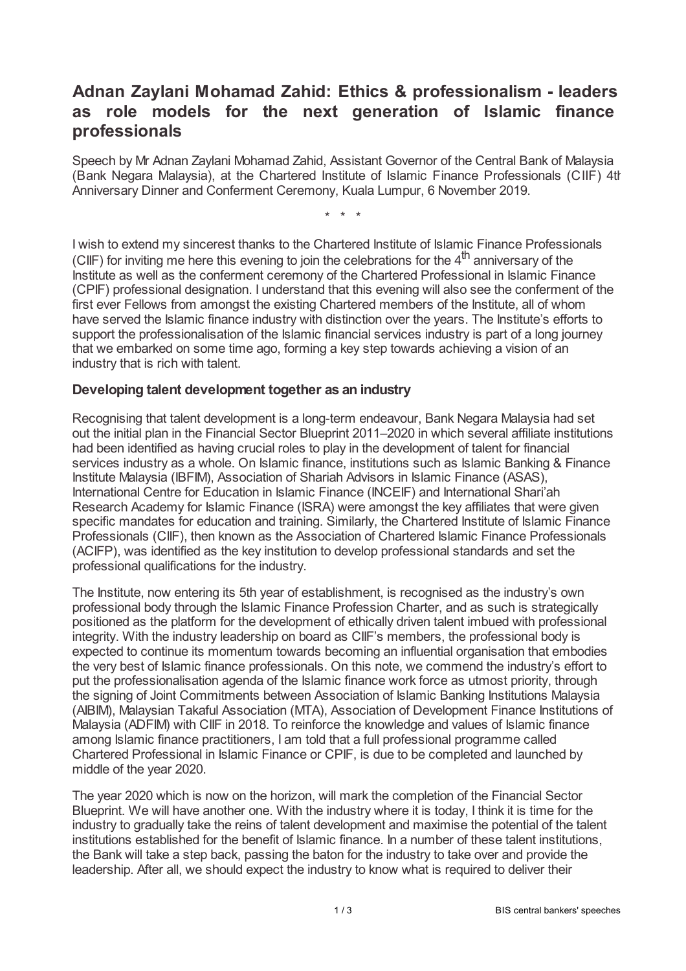## **Adnan Zaylani Mohamad Zahid: Ethics & professionalism - leaders as role models for the next generation of Islamic finance professionals**

Speech by Mr Adnan Zaylani Mohamad Zahid, Assistant Governor of the Central Bank of Malaysia (Bank Negara Malaysia), at the Chartered Institute of Islamic Finance Professionals (CIIF) 4th Anniversary Dinner and Conferment Ceremony, Kuala Lumpur, 6 November 2019.

\* \* \*

I wish to extend my sincerest thanks to the Chartered Institute of Islamic Finance Professionals (CIIF) for inviting me here this evening to join the celebrations for the  $4<sup>th</sup>$  anniversary of the Institute as well as the conferment ceremony of the Chartered Professional in Islamic Finance (CPIF) professional designation. I understand that this evening will also see the conferment of the first ever Fellows from amongst the existing Chartered members of the Institute, all of whom have served the Islamic finance industry with distinction over the years. The Institute's efforts to support the professionalisation of the Islamic financial services industry is part of a long journey that we embarked on some time ago, forming a key step towards achieving a vision of an industry that is rich with talent.

## **Developing talent development together as an industry**

Recognising that talent development is a long-term endeavour, Bank Negara Malaysia had set out the initial plan in the Financial Sector Blueprint 2011–2020 in which several affiliate institutions had been identified as having crucial roles to play in the development of talent for financial services industry as a whole. On Islamic finance, institutions such as Islamic Banking & Finance Institute Malaysia (IBFIM), Association of Shariah Advisors in Islamic Finance (ASAS), International Centre for Education in Islamic Finance (INCEIF) and International Shari'ah Research Academy for Islamic Finance (ISRA) were amongst the key affiliates that were given specific mandates for education and training. Similarly, the Chartered Institute of Islamic Finance Professionals (CIIF), then known as the Association of Chartered Islamic Finance Professionals (ACIFP), was identified as the key institution to develop professional standards and set the professional qualifications for the industry.

The Institute, now entering its 5th year of establishment, is recognised as the industry's own professional body through the Islamic Finance Profession Charter, and as such is strategically positioned as the platform for the development of ethically driven talent imbued with professional integrity. With the industry leadership on board as CIIF's members, the professional body is expected to continue its momentum towards becoming an influential organisation that embodies the very best of Islamic finance professionals. On this note, we commend the industry's effort to put the professionalisation agenda of the Islamic finance work force as utmost priority, through the signing of Joint Commitments between Association of Islamic Banking Institutions Malaysia (AIBIM), Malaysian Takaful Association (MTA), Association of Development Finance Institutions of Malaysia (ADFIM) with CIIF in 2018. To reinforce the knowledge and values of Islamic finance among Islamic finance practitioners, I am told that a full professional programme called Chartered Professional in Islamic Finance or CPIF, is due to be completed and launched by middle of the year 2020.

The year 2020 which is now on the horizon, will mark the completion of the Financial Sector Blueprint. We will have another one. With the industry where it is today, I think it is time for the industry to gradually take the reins of talent development and maximise the potential of the talent institutions established for the benefit of Islamic finance. In a number of these talent institutions, the Bank will take a step back, passing the baton for the industry to take over and provide the leadership. After all, we should expect the industry to know what is required to deliver their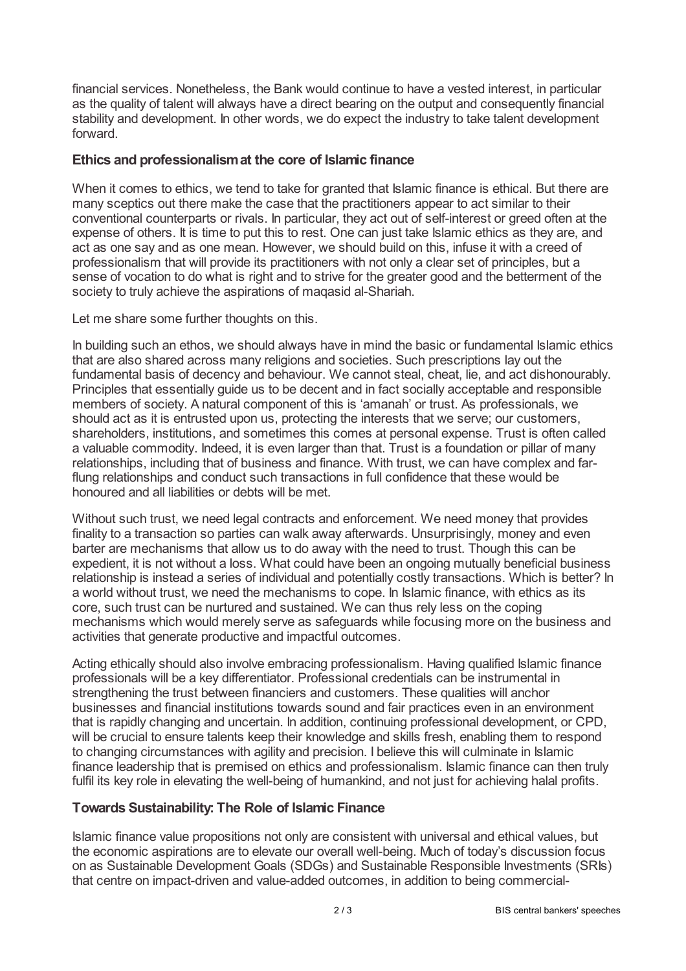financial services. Nonetheless, the Bank would continue to have a vested interest, in particular as the quality of talent will always have a direct bearing on the output and consequently financial stability and development. In other words, we do expect the industry to take talent development forward.

## **Ethics and professionalismat the core of Islamic finance**

When it comes to ethics, we tend to take for granted that Islamic finance is ethical. But there are many sceptics out there make the case that the practitioners appear to act similar to their conventional counterparts or rivals. In particular, they act out of self-interest or greed often at the expense of others. It is time to put this to rest. One can just take Islamic ethics as they are, and act as one say and as one mean. However, we should build on this, infuse it with a creed of professionalism that will provide its practitioners with not only a clear set of principles, but a sense of vocation to do what is right and to strive for the greater good and the betterment of the society to truly achieve the aspirations of maqasid al-Shariah.

Let me share some further thoughts on this.

In building such an ethos, we should always have in mind the basic or fundamental Islamic ethics that are also shared across many religions and societies. Such prescriptions lay out the fundamental basis of decency and behaviour. We cannot steal, cheat, lie, and act dishonourably. Principles that essentially guide us to be decent and in fact socially acceptable and responsible members of society. A natural component of this is 'amanah' or trust. As professionals, we should act as it is entrusted upon us, protecting the interests that we serve; our customers, shareholders, institutions, and sometimes this comes at personal expense. Trust is often called a valuable commodity. Indeed, it is even larger than that. Trust is a foundation or pillar of many relationships, including that of business and finance. With trust, we can have complex and farflung relationships and conduct such transactions in full confidence that these would be honoured and all liabilities or debts will be met.

Without such trust, we need legal contracts and enforcement. We need money that provides finality to a transaction so parties can walk away afterwards. Unsurprisingly, money and even barter are mechanisms that allow us to do away with the need to trust. Though this can be expedient, it is not without a loss. What could have been an ongoing mutually beneficial business relationship is instead a series of individual and potentially costly transactions. Which is better? In a world without trust, we need the mechanisms to cope. In Islamic finance, with ethics as its core, such trust can be nurtured and sustained. We can thus rely less on the coping mechanisms which would merely serve as safeguards while focusing more on the business and activities that generate productive and impactful outcomes.

Acting ethically should also involve embracing professionalism. Having qualified Islamic finance professionals will be a key differentiator. Professional credentials can be instrumental in strengthening the trust between financiers and customers. These qualities will anchor businesses and financial institutions towards sound and fair practices even in an environment that is rapidly changing and uncertain. In addition, continuing professional development, or CPD, will be crucial to ensure talents keep their knowledge and skills fresh, enabling them to respond to changing circumstances with agility and precision. I believe this will culminate in Islamic finance leadership that is premised on ethics and professionalism. Islamic finance can then truly fulfil its key role in elevating the well-being of humankind, and not just for achieving halal profits.

## **Towards Sustainability: The Role of Islamic Finance**

Islamic finance value propositions not only are consistent with universal and ethical values, but the economic aspirations are to elevate our overall well-being. Much of today's discussion focus on as Sustainable Development Goals (SDGs) and Sustainable Responsible Investments (SRIs) that centre on impact-driven and value-added outcomes, in addition to being commercial